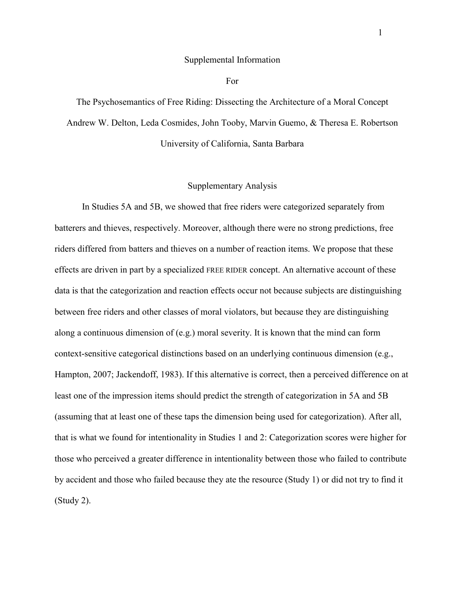#### Supplemental Information

For

The Psychosemantics of Free Riding: Dissecting the Architecture of a Moral Concept Andrew W. Delton, Leda Cosmides, John Tooby, Marvin Guemo, & Theresa E. Robertson University of California, Santa Barbara

#### Supplementary Analysis

In Studies 5A and 5B, we showed that free riders were categorized separately from batterers and thieves, respectively. Moreover, although there were no strong predictions, free riders differed from batters and thieves on a number of reaction items. We propose that these effects are driven in part by a specialized FREE RIDER concept. An alternative account of these data is that the categorization and reaction effects occur not because subjects are distinguishing between free riders and other classes of moral violators, but because they are distinguishing along a continuous dimension of  $(e.g.)$  moral severity. It is known that the mind can form context-sensitive categorical distinctions based on an underlying continuous dimension (e.g., Hampton, 2007; Jackendoff, 1983). If this alternative is correct, then a perceived difference on at least one of the impression items should predict the strength of categorization in 5A and 5B (assuming that at least one of these taps the dimension being used for categorization). After all, that is what we found for intentionality in Studies 1 and 2: Categorization scores were higher for those who perceived a greater difference in intentionality between those who failed to contribute by accident and those who failed because they ate the resource (Study 1) or did not try to find it (Study 2).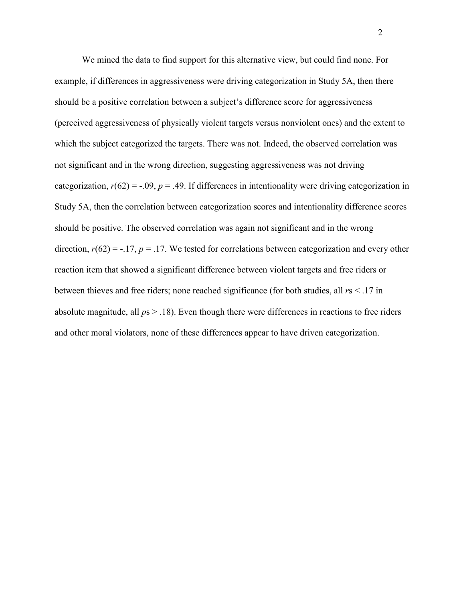We mined the data to find support for this alternative view, but could find none. For example, if differences in aggressiveness were driving categorization in Study 5A, then there should be a positive correlation between a subject's difference score for aggressiveness (perceived aggressiveness of physically violent targets versus nonviolent ones) and the extent to which the subject categorized the targets. There was not. Indeed, the observed correlation was not significant and in the wrong direction, suggesting aggressiveness was not driving categorization,  $r(62) = -0.09$ ,  $p = 0.49$ . If differences in intentionality were driving categorization in Study 5A, then the correlation between categorization scores and intentionality difference scores should be positive. The observed correlation was again not significant and in the wrong direction,  $r(62) = -17$ ,  $p = 0.17$ . We tested for correlations between categorization and every other reaction item that showed a significant difference between violent targets and free riders or between thieves and free riders; none reached significance (for both studies, all *r*s < .17 in absolute magnitude, all *p*s > .18). Even though there were differences in reactions to free riders and other moral violators, none of these differences appear to have driven categorization.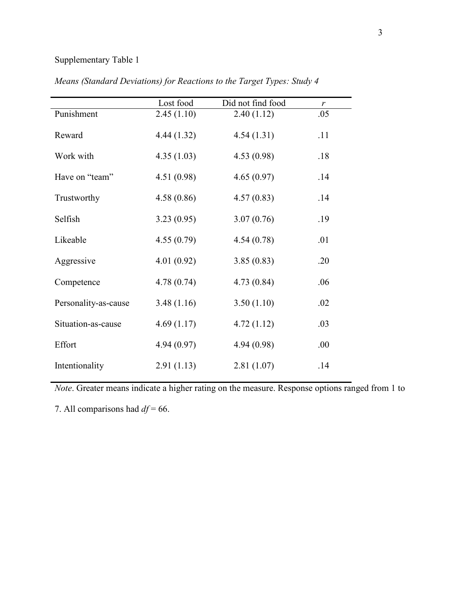# Supplementary Table 1

|                      | Lost food  | Did not find food | r    |  |
|----------------------|------------|-------------------|------|--|
| Punishment           | 2.45(1.10) | 2.40(1.12)        | .05  |  |
| Reward               | 4.44(1.32) | 4.54(1.31)        | .11  |  |
| Work with            | 4.35(1.03) | 4.53(0.98)        | .18  |  |
| Have on "team"       | 4.51(0.98) | 4.65(0.97)        | .14  |  |
| Trustworthy          | 4.58(0.86) | 4.57(0.83)        | .14  |  |
| Selfish              | 3.23(0.95) | 3.07(0.76)        | .19  |  |
| Likeable             | 4.55(0.79) | 4.54(0.78)        | .01  |  |
| Aggressive           | 4.01(0.92) | 3.85(0.83)        | .20  |  |
| Competence           | 4.78(0.74) | 4.73(0.84)        | .06  |  |
| Personality-as-cause | 3.48(1.16) | 3.50(1.10)        | .02  |  |
| Situation-as-cause   | 4.69(1.17) | 4.72(1.12)        | .03  |  |
| Effort               | 4.94(0.97) | 4.94 (0.98)       | .00. |  |
| Intentionality       | 2.91(1.13) | 2.81(1.07)        | .14  |  |

*Means (Standard Deviations) for Reactions to the Target Types: Study 4* 

*Note*. Greater means indicate a higher rating on the measure. Response options ranged from 1 to

7. All comparisons had *df* = 66.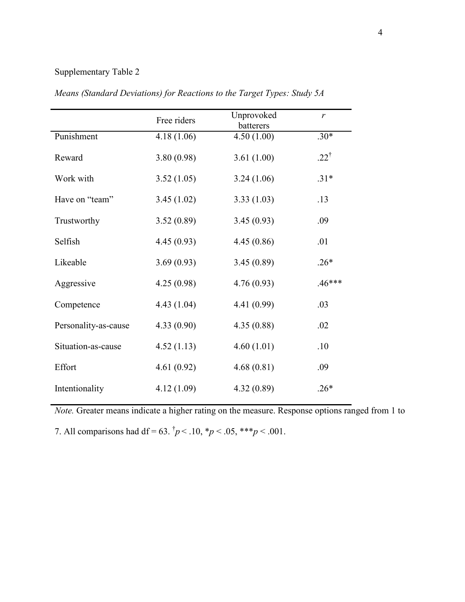### Supplementary Table 2

|                      | Free riders | Unprovoked<br>batterers | $\mathbf{r}$    |
|----------------------|-------------|-------------------------|-----------------|
| Punishment           | 4.18(1.06)  | 4.50(1.00)              | $.30*$          |
| Reward               | 3.80(0.98)  | 3.61(1.00)              | $.22^{\dagger}$ |
| Work with            | 3.52(1.05)  | 3.24(1.06)              | $.31*$          |
| Have on "team"       | 3.45(1.02)  | 3.33(1.03)              | .13             |
| Trustworthy          | 3.52(0.89)  | 3.45(0.93)              | .09             |
| Selfish              | 4.45(0.93)  | 4.45(0.86)              | .01             |
| Likeable             | 3.69(0.93)  | 3.45(0.89)              | $.26*$          |
| Aggressive           | 4.25(0.98)  | 4.76(0.93)              | $.46***$        |
| Competence           | 4.43(1.04)  | 4.41 (0.99)             | .03             |
| Personality-as-cause | 4.33(0.90)  | 4.35(0.88)              | .02             |
| Situation-as-cause   | 4.52(1.13)  | 4.60(1.01)              | .10             |
| Effort               | 4.61(0.92)  | 4.68(0.81)              | .09             |
| Intentionality       | 4.12(1.09)  | 4.32(0.89)              | $.26*$          |

*Means (Standard Deviations) for Reactions to the Target Types: Study 5A* 

*Note.* Greater means indicate a higher rating on the measure. Response options ranged from 1 to

7. All comparisons had df = 63.  $\frac{1}{7}p < 0.10$ ,  $\frac{1}{7}p < 0.05$ ,  $\frac{1}{7} \cdot \frac{1}{7}p < 0.001$ .